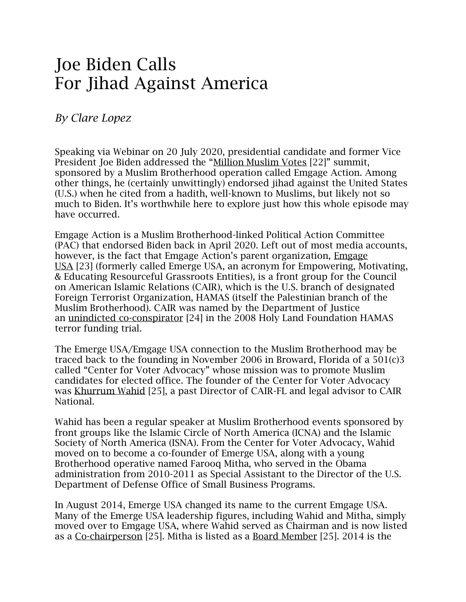## Joe Biden Calls For Jihad Against America

## *By Clare Lopez*

Speaking via Webinar on 20 July 2020, presidential candidate and former Vice President Joe Biden addressed the "[Million Muslim Votes](https://www.msn.com/en-us/news/politics/biden-at-muslim-voters-summit-says-e2-80-98i-wish-we-taught-more-in-our-schools-about-the-islamic-faith-e2-80-99/ar-BB16Z0sC) [22]" summit, sponsored by a Muslim Brotherhood operation called Emgage Action. Among other things, he (certainly unwittingly) endorsed jihad against the United States (U.S.) when he cited from a hadith, well-known to Muslims, but likely not so much to Biden. It's worthwhile here to explore just how this whole episode may have occurred.

Emgage Action is a Muslim Brotherhood-linked Political Action Committee (PAC) that endorsed Biden back in April 2020. Left out of most media accounts, however, is the fact that Emgage Action's parent organization, [Emgage](https://emgageusa.org/)  [USA](https://emgageusa.org/) [23] (formerly called Emerge USA, an acronym for Empowering, Motivating, & Educating Resourceful Grassroots Entities), is a front group for the Council on American Islamic Relations (CAIR), which is the U.S. branch of designated Foreign Terrorist Organization, HAMAS (itself the Palestinian branch of the Muslim Brotherhood). CAIR was named by the Department of Justice an unindicted [co-conspirator](https://www.investigativeproject.org/documents/case_docs/423.pdf#page=5) [24] in the 2008 Holy Land Foundation HAMAS terror funding trial.

The Emerge USA/Emgage USA connection to the Muslim Brotherhood may be traced back to the founding in November 2006 in Broward, Florida of a 501(c)3 called "Center for Voter Advocacy" whose mission was to promote Muslim candidates for elected office. The founder of the Center for Voter Advocacy was [Khurrum Wahid](https://emgageusa.org/about-us/) [25], a past Director of CAIR-FL and legal advisor to CAIR National.

Wahid has been a regular speaker at Muslim Brotherhood events sponsored by front groups like the Islamic Circle of North America (ICNA) and the Islamic Society of North America (ISNA). From the Center for Voter Advocacy, Wahid moved on to become a co-founder of Emerge USA, along with a young Brotherhood operative named Farooq Mitha, who served in the Obama administration from 2010-2011 as Special Assistant to the Director of the U.S. Department of Defense Office of Small Business Programs.

In August 2014, Emerge USA changed its name to the current Emgage USA. Many of the Emerge USA leadership figures, including Wahid and Mitha, simply moved over to Emgage USA, where Wahid served as Chairman and is now listed as a [Co-chairperson](https://emgageusa.org/about-us/) [25]. Mitha is listed as a [Board Member](https://emgageusa.org/about-us/) [25]. 2014 is the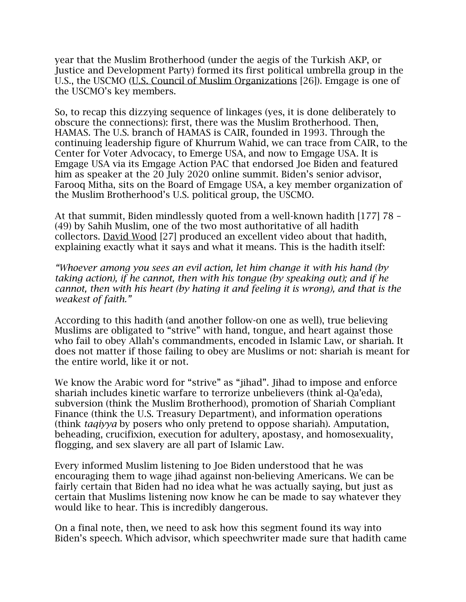year that the Muslim Brotherhood (under the aegis of the Turkish AKP, or Justice and Development Party) formed its first political umbrella group in the U.S., the USCMO [\(U.S. Council of Muslim Organizations](https://uscmo.org/index.php/home-version-10-2/) [26]). Emgage is one of the USCMO's key members.

So, to recap this dizzying sequence of linkages (yes, it is done deliberately to obscure the connections): first, there was the Muslim Brotherhood. Then, HAMAS. The U.S. branch of HAMAS is CAIR, founded in 1993. Through the continuing leadership figure of Khurrum Wahid, we can trace from CAIR, to the Center for Voter Advocacy, to Emerge USA, and now to Emgage USA. It is Emgage USA via its Emgage Action PAC that endorsed Joe Biden and featured him as speaker at the 20 July 2020 online summit. Biden's senior advisor, Farooq Mitha, sits on the Board of Emgage USA, a key member organization of the Muslim Brotherhood's U.S. political group, the USCMO.

At that summit, Biden mindlessly quoted from a well-known hadith [177] 78 – (49) by Sahih Muslim, one of the two most authoritative of all hadith collectors. [David Wood](https://www.youtube.com/watch?v=iOhjQ9qoVJw) [27] produced an excellent video about that hadith, explaining exactly what it says and what it means. This is the hadith itself:

*"Whoever among you sees an evil action, let him change it with his hand (by taking action), if he cannot, then with his tongue (by speaking out); and if he cannot, then with his heart (by hating it and feeling it is wrong), and that is the weakest of faith."* 

According to this hadith (and another follow-on one as well), true believing Muslims are obligated to "strive" with hand, tongue, and heart against those who fail to obey Allah's commandments, encoded in Islamic Law, or shariah. It does not matter if those failing to obey are Muslims or not: shariah is meant for the entire world, like it or not.

We know the Arabic word for "strive" as "jihad". Jihad to impose and enforce shariah includes kinetic warfare to terrorize unbelievers (think al-Qa'eda), subversion (think the Muslim Brotherhood), promotion of Shariah Compliant Finance (think the U.S. Treasury Department), and information operations (think *taqiyya* by posers who only pretend to oppose shariah). Amputation, beheading, crucifixion, execution for adultery, apostasy, and homosexuality, flogging, and sex slavery are all part of Islamic Law.

Every informed Muslim listening to Joe Biden understood that he was encouraging them to wage jihad against non-believing Americans. We can be fairly certain that Biden had no idea what he was actually saying, but just as certain that Muslims listening now know he can be made to say whatever they would like to hear. This is incredibly dangerous.

On a final note, then, we need to ask how this segment found its way into Biden's speech. Which advisor, which speechwriter made sure that hadith came